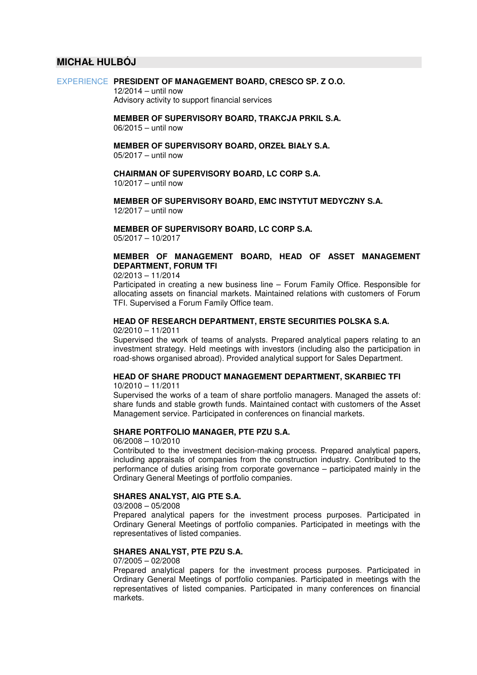# **MICHAŁ HULBÓJ**

#### EXPERIENCE **PRESIDENT OF MANAGEMENT BOARD, CRESCO SP. Z O.O.**

 12/2014 – until now Advisory activity to support financial services

 **MEMBER OF SUPERVISORY BOARD, TRAKCJA PRKIL S.A.**  06/2015 – until now

 **MEMBER OF SUPERVISORY BOARD, ORZEŁ BIAŁY S.A.** 05/2017 – until now

**CHAIRMAN OF SUPERVISORY BOARD, LC CORP S.A.** 

10/2017 – until now

 **MEMBER OF SUPERVISORY BOARD, EMC INSTYTUT MEDYCZNY S.A.** 12/2017 – until now

 **MEMBER OF SUPERVISORY BOARD, LC CORP S.A.** 05/2017 – 10/2017

# **MEMBER OF MANAGEMENT BOARD, HEAD OF ASSET MANAGEMENT DEPARTMENT, FORUM TFI**

02/2013 – 11/2014

Participated in creating a new business line – Forum Family Office. Responsible for allocating assets on financial markets. Maintained relations with customers of Forum TFI. Supervised a Forum Family Office team.

## **HEAD OF RESEARCH DEPARTMENT, ERSTE SECURITIES POLSKA S.A.**

02/2010 – 11/2011

Supervised the work of teams of analysts. Prepared analytical papers relating to an investment strategy. Held meetings with investors (including also the participation in road-shows organised abroad). Provided analytical support for Sales Department.

### **HEAD OF SHARE PRODUCT MANAGEMENT DEPARTMENT, SKARBIEC TFI**

10/2010 – 11/2011

Supervised the works of a team of share portfolio managers. Managed the assets of: share funds and stable growth funds. Maintained contact with customers of the Asset Management service. Participated in conferences on financial markets.

#### **SHARE PORTFOLIO MANAGER, PTE PZU S.A.**

06/2008 – 10/2010

Contributed to the investment decision-making process. Prepared analytical papers, including appraisals of companies from the construction industry. Contributed to the performance of duties arising from corporate governance – participated mainly in the Ordinary General Meetings of portfolio companies.

# **SHARES ANALYST, AIG PTE S.A.**

03/2008 – 05/2008

Prepared analytical papers for the investment process purposes. Participated in Ordinary General Meetings of portfolio companies. Participated in meetings with the representatives of listed companies.

#### **SHARES ANALYST, PTE PZU S.A.**

07/2005 – 02/2008

Prepared analytical papers for the investment process purposes. Participated in Ordinary General Meetings of portfolio companies. Participated in meetings with the representatives of listed companies. Participated in many conferences on financial markets.